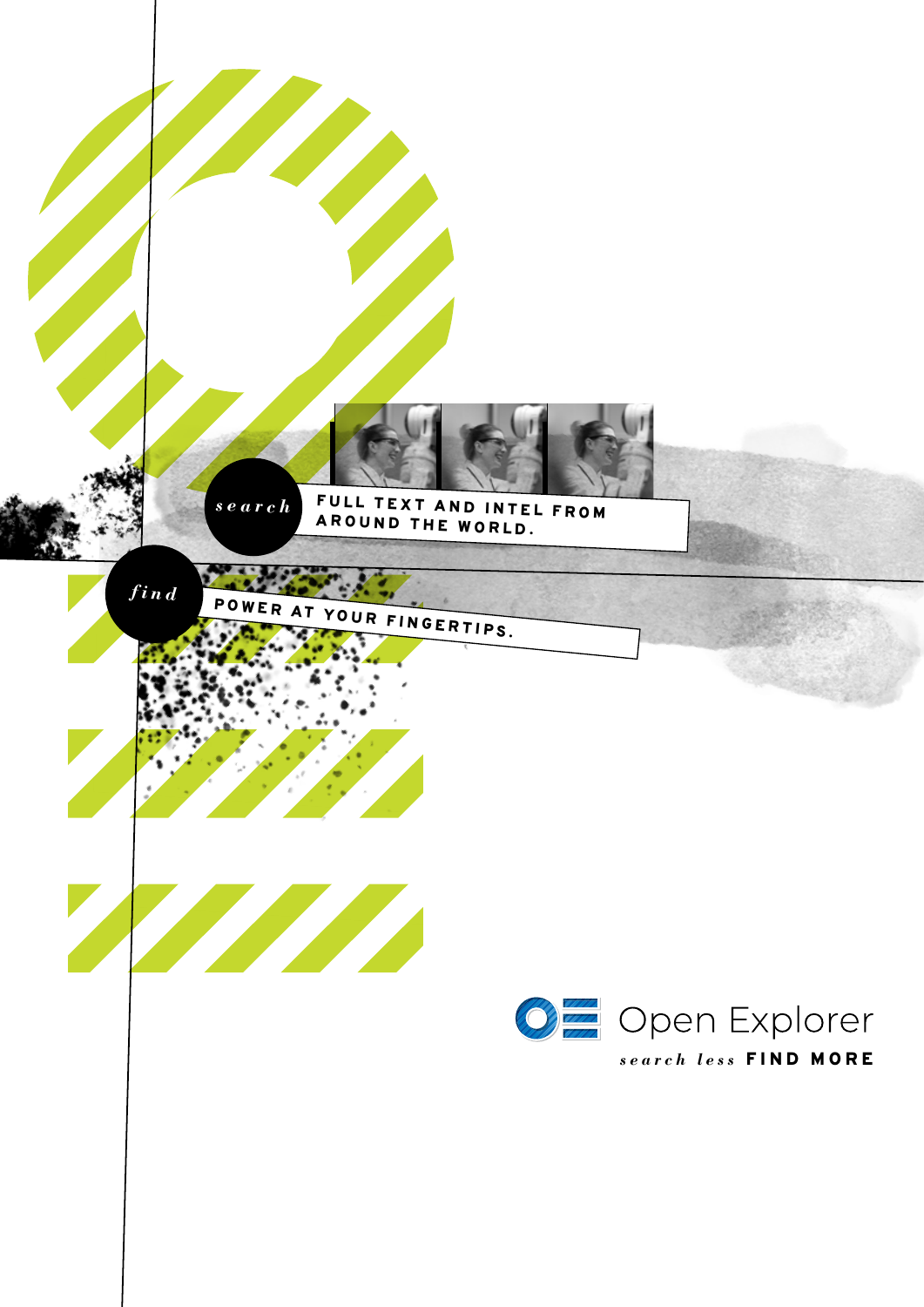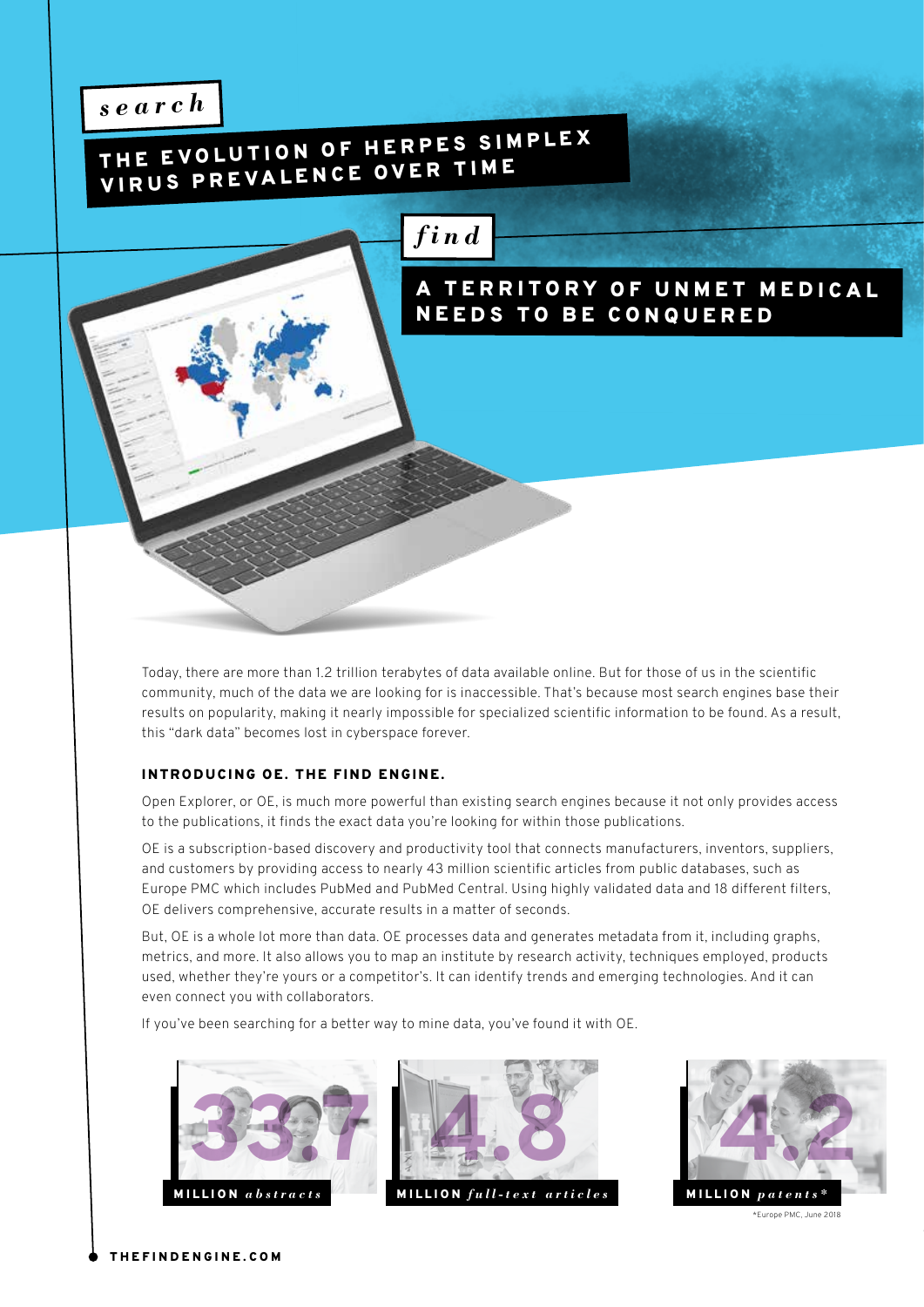## *search*

## THE EVOLUTION OF HERPES SIMPLEX VIRUS PREVALENCE OVER TIME

## *find*

### A TERRITORY OF UNMET MEDICAL NEEDS TO BE CONQUERED

Today, there are more than 1.2 trillion terabytes of data available online. But for those of us in the scientific community, much of the data we are looking for is inaccessible. That's because most search engines base their results on popularity, making it nearly impossible for specialized scientific information to be found. As a result, this "dark data" becomes lost in cyberspace forever.

#### INTRODUCING OF, THE FIND ENGINE.

Open Explorer, or OE, is much more powerful than existing search engines because it not only provides access to the publications, it finds the exact data you're looking for within those publications.

OE is a subscription-based discovery and productivity tool that connects manufacturers, inventors, suppliers, and customers by providing access to nearly 43 million scientific articles from public databases, such as Europe PMC which includes PubMed and PubMed Central. Using highly validated data and 18 different filters, OE delivers comprehensive, accurate results in a matter of seconds.

But, OE is a whole lot more than data. OE processes data and generates metadata from it, including graphs, metrics, and more. It also allows you to map an institute by research activity, techniques employed, products used, whether they're yours or a competitor's. It can identify trends and emerging technologies. And it can even connect you with collaborators.

If you've been searching for a better way to mine data, you've found it with OE.





\*Europe PMC, June 2018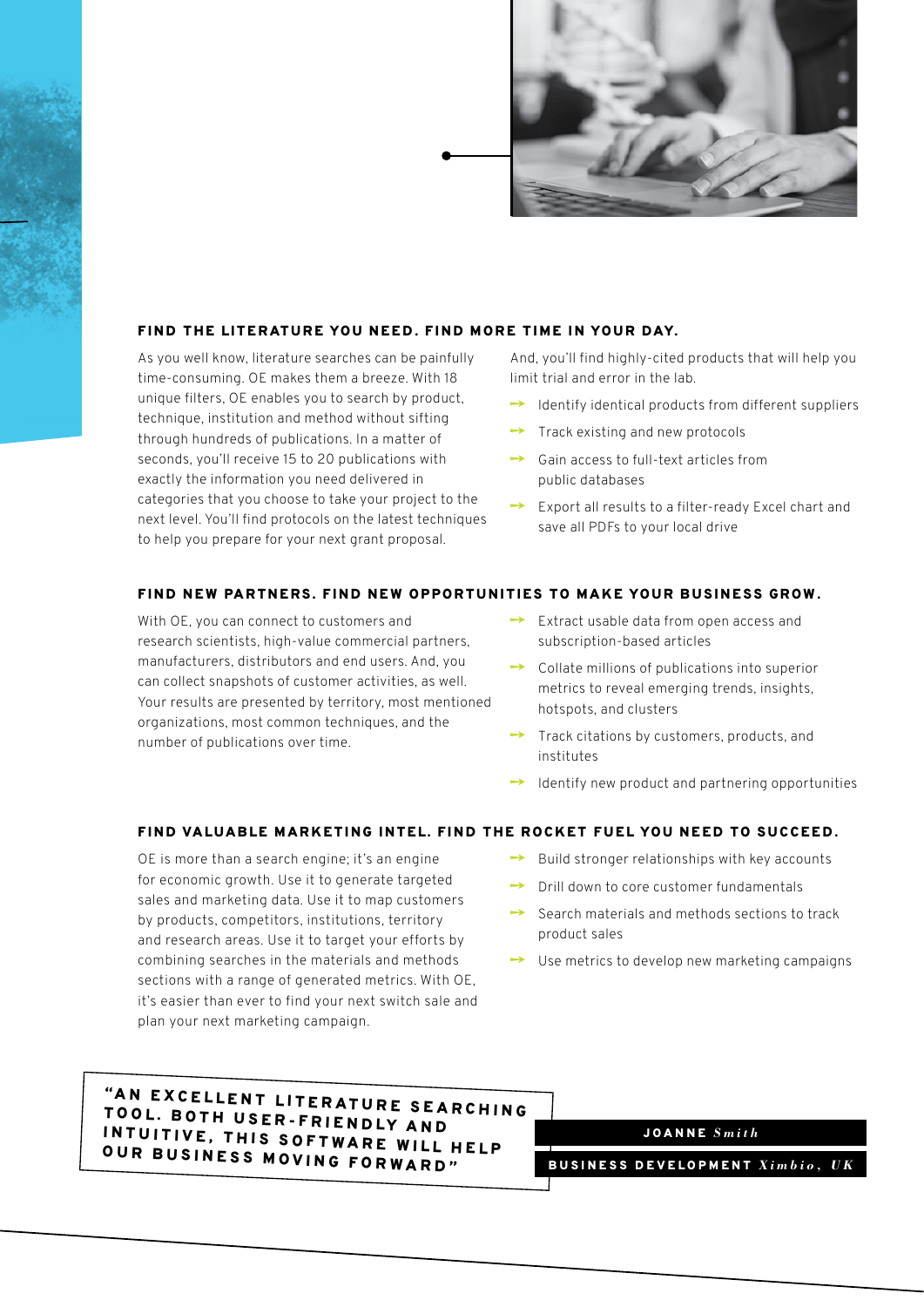

#### FIND THE LITERATURE YOU NEED. FIND MORE TIME IN YOUR DAY.

As you well know, literature searches can be painfully time-consuming. OE makes them a breeze. With 18 unique filters, OE enables you to search by product, technique, institution and method without sifting through hundreds of publications. In a matter of seconds, you'll receive 15 to 20 publications with exactly the information you need delivered in categories that you choose to take your project to the next level. You'll find protocols on the latest techniques to help you prepare for your next grant proposal.

And, you'll find highly-cited products that will help you limit trial and error in the lab.

- $\rightarrow$  Identify identical products from different suppliers
- $\rightarrow$  Track existing and new protocols
- $\rightarrow$  Gain access to full-text articles from public databases
- → Export all results to a filter-ready Excel chart and save all PDFs to your local drive

#### FIND NEW PARTNERS. FIND NEW OPPORTUNITIES TO MAKE YOUR BUSINESS GROW.

With OE, you can connect to customers and research scientists, high-value commercial partners, manufacturers, distributors and end users. And, you can collect snapshots of customer activities, as well. Your results are presented by territory, most mentioned organizations, most common techniques, and the number of publications over time.

- **→** Extract usable data from open access and subscription-based articles
- **→** Collate millions of publications into superior metrics to reveal emerging trends, insights, hotspots, and clusters
- **→** Track citations by customers, products, and institutes
- $\rightarrow$  Identify new product and partnering opportunities

#### FIND VALUABLE MARKETING INTEL. FIND THE ROCKET FUEL YOU NEED TO SUCCEED.

OE is more than a search engine; it's an engine for economic growth. Use it to generate targeted sales and marketing data. Use it to map customers by products, competitors, institutions, territory and research areas. Use it to target your efforts by combining searches in the materials and methods sections with a range of generated metrics. With OE, it's easier than ever to find your next switch sale and plan your next marketing campaign.

- **→** Build stronger relationships with key accounts
- ➙ Drill down to core customer fundamentals
- **→** Search materials and methods sections to track product sales
- $\rightarrow$  Use metrics to develop new marketing campaigns

"AN EXCELLENT LITERATURE SEARCHING TOOL. BOTH USER-FRIENDLY AND IN TUITIVE, THIS SOFTWARE WILL HELP OUR BUSINESS MOVING FORWARD"

JOANNE *Smith*

BUSINESS DEVELOPMENT *Ximbio, UK*